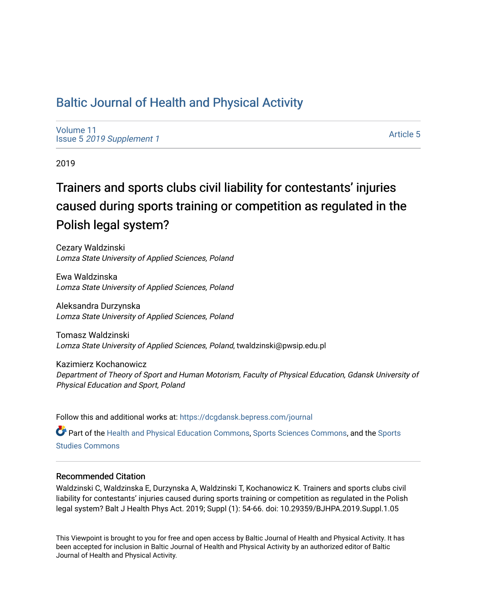## [Baltic Journal of Health and Physical Activity](https://dcgdansk.bepress.com/journal)

[Volume 11](https://dcgdansk.bepress.com/journal/vol11) Issue 5 [2019 Supplement 1](https://dcgdansk.bepress.com/journal/vol11/iss5) 

[Article 5](https://dcgdansk.bepress.com/journal/vol11/iss5/5) 

2019

# Trainers and sports clubs civil liability for contestants' injuries caused during sports training or competition as regulated in the Polish legal system?

Cezary Waldzinski Lomza State University of Applied Sciences, Poland

Ewa Waldzinska Lomza State University of Applied Sciences, Poland

Aleksandra Durzynska Lomza State University of Applied Sciences, Poland

Tomasz Waldzinski Lomza State University of Applied Sciences, Poland, twaldzinski@pwsip.edu.pl

Kazimierz Kochanowicz Department of Theory of Sport and Human Motorism, Faculty of Physical Education, Gdansk University of Physical Education and Sport, Poland

Follow this and additional works at: [https://dcgdansk.bepress.com/journal](https://dcgdansk.bepress.com/journal?utm_source=dcgdansk.bepress.com%2Fjournal%2Fvol11%2Fiss5%2F5&utm_medium=PDF&utm_campaign=PDFCoverPages)

Part of the [Health and Physical Education Commons](http://network.bepress.com/hgg/discipline/1327?utm_source=dcgdansk.bepress.com%2Fjournal%2Fvol11%2Fiss5%2F5&utm_medium=PDF&utm_campaign=PDFCoverPages), [Sports Sciences Commons](http://network.bepress.com/hgg/discipline/759?utm_source=dcgdansk.bepress.com%2Fjournal%2Fvol11%2Fiss5%2F5&utm_medium=PDF&utm_campaign=PDFCoverPages), and the Sports [Studies Commons](http://network.bepress.com/hgg/discipline/1198?utm_source=dcgdansk.bepress.com%2Fjournal%2Fvol11%2Fiss5%2F5&utm_medium=PDF&utm_campaign=PDFCoverPages) 

### Recommended Citation

Waldzinski C, Waldzinska E, Durzynska A, Waldzinski T, Kochanowicz K. Trainers and sports clubs civil liability for contestants' injuries caused during sports training or competition as regulated in the Polish legal system? Balt J Health Phys Act. 2019; Suppl (1): 54-66. doi: 10.29359/BJHPA.2019.Suppl.1.05

This Viewpoint is brought to you for free and open access by Baltic Journal of Health and Physical Activity. It has been accepted for inclusion in Baltic Journal of Health and Physical Activity by an authorized editor of Baltic Journal of Health and Physical Activity.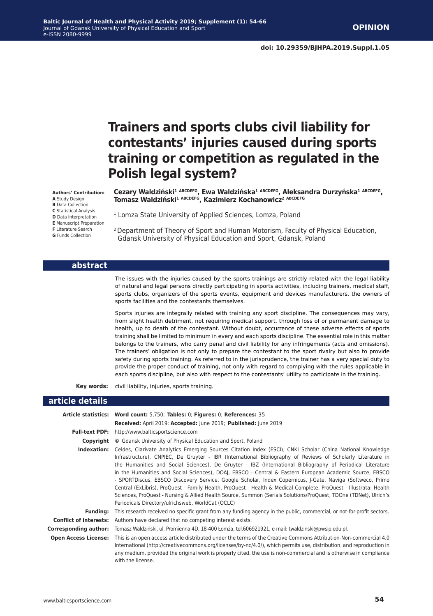# **Trainers and sports clubs civil liability for contestants' injuries caused during sports training or competition as regulated in the Polish legal system?**

**Cezary Waldziński<sup>1</sup> ABCDEFG, Ewa Waldzińska<sup>1</sup> ABCDEFG, Aleksandra Durzyńska<sup>1</sup> ABCDEFG, Tomasz Waldziński<sup>1</sup> ABCDEFG, Kazimierz Kochanowicz2 ABCDEFG**

<sup>1</sup> Lomza State University of Applied Sciences, Lomza, Poland

2 Department of Theory of Sport and Human Motorism, Faculty of Physical Education, Gdansk University of Physical Education and Sport, Gdansk, Poland

#### **abstract**

The issues with the injuries caused by the sports trainings are strictly related with the legal liability of natural and legal persons directly participating in sports activities, including trainers, medical staff, sports clubs, organizers of the sports events, equipment and devices manufacturers, the owners of sports facilities and the contestants themselves.

Sports injuries are integrally related with training any sport discipline. The consequences may vary, from slight health detriment, not requiring medical support, through loss of or permanent damage to health, up to death of the contestant. Without doubt, occurrence of these adverse effects of sports training shall be limited to minimum in every and each sports discipline. The essential role in this matter belongs to the trainers, who carry penal and civil liability for any infringements (acts and omissions). The trainers' obligation is not only to prepare the contestant to the sport rivalry but also to provide safety during sports training. As referred to in the jurisprudence, the trainer has a very special duty to provide the proper conduct of training, not only with regard to complying with the rules applicable in each sports discipline, but also with respect to the contestants' utility to participate in the training.

**Key words:** civil liability, injuries, sports training.

#### **article details**

|                               | Article statistics: Word count: 5,750; Tables: 0; Figures: 0; References: 35                                                                                                                                                                                                                                                                                                                                                                                                                                                                                                                                                                                                                                                                                                                                                                                  |
|-------------------------------|---------------------------------------------------------------------------------------------------------------------------------------------------------------------------------------------------------------------------------------------------------------------------------------------------------------------------------------------------------------------------------------------------------------------------------------------------------------------------------------------------------------------------------------------------------------------------------------------------------------------------------------------------------------------------------------------------------------------------------------------------------------------------------------------------------------------------------------------------------------|
|                               | Received: April 2019; Accepted: June 2019; Published: June 2019                                                                                                                                                                                                                                                                                                                                                                                                                                                                                                                                                                                                                                                                                                                                                                                               |
| <b>Full-text PDF:</b>         | http://www.balticsportscience.com                                                                                                                                                                                                                                                                                                                                                                                                                                                                                                                                                                                                                                                                                                                                                                                                                             |
| Copyright                     | © Gdansk University of Physical Education and Sport, Poland                                                                                                                                                                                                                                                                                                                                                                                                                                                                                                                                                                                                                                                                                                                                                                                                   |
| Indexation:                   | Celdes, Clarivate Analytics Emerging Sources Citation Index (ESCI), CNKI Scholar (China National Knowledge<br>Infrastructure), CNPIEC, De Gruyter - IBR (International Bibliography of Reviews of Scholarly Literature in<br>the Humanities and Social Sciences), De Gruyter - IBZ (International Bibliography of Periodical Literature<br>in the Humanities and Social Sciences), DOAJ, EBSCO - Central & Eastern European Academic Source, EBSCO<br>- SPORTDiscus, EBSCO Discovery Service, Google Scholar, Index Copernicus, J-Gate, Naviga (Softweco, Primo<br>Central (ExLibris), ProQuest - Family Health, ProQuest - Health & Medical Complete, ProQuest - Illustrata: Health<br>Sciences, ProQuest - Nursing & Allied Health Source, Summon (Serials Solutions/ProQuest, TDOne (TDNet), Ulrich's<br>Periodicals Directory/ulrichsweb, WorldCat (OCLC) |
| <b>Funding:</b>               | This research received no specific grant from any funding agency in the public, commercial, or not-for-profit sectors.                                                                                                                                                                                                                                                                                                                                                                                                                                                                                                                                                                                                                                                                                                                                        |
| <b>Conflict of interests:</b> | Authors have declared that no competing interest exists.                                                                                                                                                                                                                                                                                                                                                                                                                                                                                                                                                                                                                                                                                                                                                                                                      |
| Corresponding author:         | Tomasz Waldziński, ul. Promienna 4D, 18-400 Łomża, tel.606921921, e-mail: twaldzinski@pwsip.edu.pl.                                                                                                                                                                                                                                                                                                                                                                                                                                                                                                                                                                                                                                                                                                                                                           |
| <b>Open Access License:</b>   | This is an open access article distributed under the terms of the Creative Commons Attribution-Non-commercial 4.0<br>International (http://creativecommons.org/licenses/by-nc/4.0/), which permits use, distribution, and reproduction in<br>any medium, provided the original work is properly cited, the use is non-commercial and is otherwise in compliance<br>with the license.                                                                                                                                                                                                                                                                                                                                                                                                                                                                          |

**Authors' Contribution: A** Study Design **B** Data Collection **C** Statistical Analysis **D** Data Interpretation **E** Manuscript Preparation **F** Literature Search **G** Funds Collection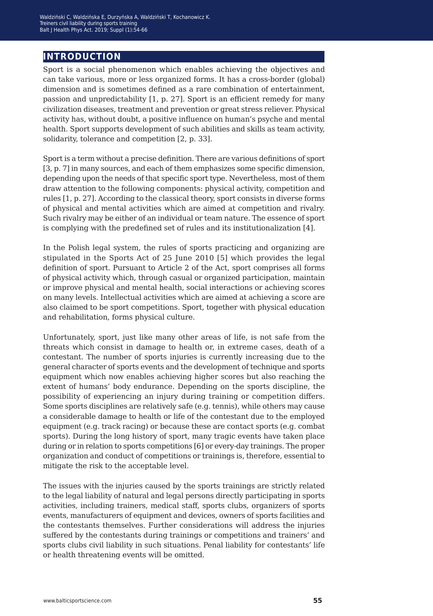## **introduction**

Sport is a social phenomenon which enables achieving the objectives and can take various, more or less organized forms. It has a cross-border (global) dimension and is sometimes defined as a rare combination of entertainment, passion and unpredictability [1, p. 27]. Sport is an efficient remedy for many civilization diseases, treatment and prevention or great stress reliever. Physical activity has, without doubt, a positive influence on human's psyche and mental health. Sport supports development of such abilities and skills as team activity, solidarity, tolerance and competition [2, p. 33].

Sport is a term without a precise definition. There are various definitions of sport [3, p. 7] in many sources, and each of them emphasizes some specific dimension, depending upon the needs of that specific sport type. Nevertheless, most of them draw attention to the following components: physical activity, competition and rules [1, p. 27]. According to the classical theory, sport consists in diverse forms of physical and mental activities which are aimed at competition and rivalry. Such rivalry may be either of an individual or team nature. The essence of sport is complying with the predefined set of rules and its institutionalization [4].

In the Polish legal system, the rules of sports practicing and organizing are stipulated in the Sports Act of 25 June 2010 [5] which provides the legal definition of sport. Pursuant to Article 2 of the Act, sport comprises all forms of physical activity which, through casual or organized participation, maintain or improve physical and mental health, social interactions or achieving scores on many levels. Intellectual activities which are aimed at achieving a score are also claimed to be sport competitions. Sport, together with physical education and rehabilitation, forms physical culture.

Unfortunately, sport, just like many other areas of life, is not safe from the threats which consist in damage to health or, in extreme cases, death of a contestant. The number of sports injuries is currently increasing due to the general character of sports events and the development of technique and sports equipment which now enables achieving higher scores but also reaching the extent of humans' body endurance. Depending on the sports discipline, the possibility of experiencing an injury during training or competition differs. Some sports disciplines are relatively safe (e.g. tennis), while others may cause a considerable damage to health or life of the contestant due to the employed equipment (e.g. track racing) or because these are contact sports (e.g. combat sports). During the long history of sport, many tragic events have taken place during or in relation to sports competitions [6] or every-day trainings. The proper organization and conduct of competitions or trainings is, therefore, essential to mitigate the risk to the acceptable level.

The issues with the injuries caused by the sports trainings are strictly related to the legal liability of natural and legal persons directly participating in sports activities, including trainers, medical staff, sports clubs, organizers of sports events, manufacturers of equipment and devices, owners of sports facilities and the contestants themselves. Further considerations will address the injuries suffered by the contestants during trainings or competitions and trainers' and sports clubs civil liability in such situations. Penal liability for contestants' life or health threatening events will be omitted.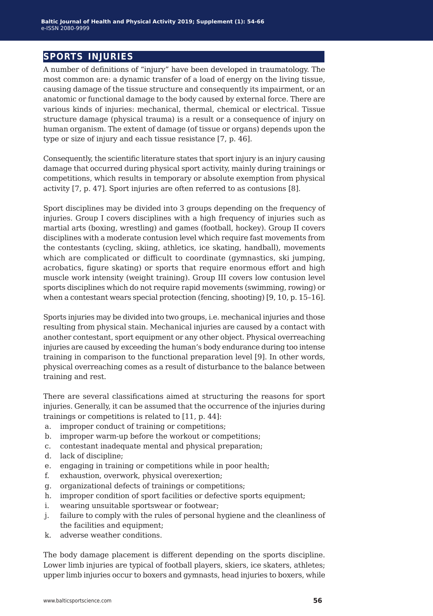## **sports injuries**

A number of definitions of "injury" have been developed in traumatology. The most common are: a dynamic transfer of a load of energy on the living tissue, causing damage of the tissue structure and consequently its impairment, or an anatomic or functional damage to the body caused by external force. There are various kinds of injuries: mechanical, thermal, chemical or electrical. Tissue structure damage (physical trauma) is a result or a consequence of injury on human organism. The extent of damage (of tissue or organs) depends upon the type or size of injury and each tissue resistance [7, p. 46].

Consequently, the scientific literature states that sport injury is an injury causing damage that occurred during physical sport activity, mainly during trainings or competitions, which results in temporary or absolute exemption from physical activity [7, p. 47]. Sport injuries are often referred to as contusions [8].

Sport disciplines may be divided into 3 groups depending on the frequency of injuries. Group I covers disciplines with a high frequency of injuries such as martial arts (boxing, wrestling) and games (football, hockey). Group II covers disciplines with a moderate contusion level which require fast movements from the contestants (cycling, skiing, athletics, ice skating, handball), movements which are complicated or difficult to coordinate (gymnastics, ski jumping, acrobatics, figure skating) or sports that require enormous effort and high muscle work intensity (weight training). Group III covers low contusion level sports disciplines which do not require rapid movements (swimming, rowing) or when a contestant wears special protection (fencing, shooting) [9, 10, p. 15–16].

Sports injuries may be divided into two groups, i.e. mechanical injuries and those resulting from physical stain. Mechanical injuries are caused by a contact with another contestant, sport equipment or any other object. Physical overreaching injuries are caused by exceeding the human's body endurance during too intense training in comparison to the functional preparation level [9]. In other words, physical overreaching comes as a result of disturbance to the balance between training and rest.

There are several classifications aimed at structuring the reasons for sport injuries. Generally, it can be assumed that the occurrence of the injuries during trainings or competitions is related to [11, p. 44]:

- a. improper conduct of training or competitions;
- b. improper warm-up before the workout or competitions;
- c. contestant inadequate mental and physical preparation;
- d. lack of discipline;
- e. engaging in training or competitions while in poor health;
- f. exhaustion, overwork, physical overexertion;
- g. organizational defects of trainings or competitions;
- h. improper condition of sport facilities or defective sports equipment;
- i. wearing unsuitable sportswear or footwear;
- j. failure to comply with the rules of personal hygiene and the cleanliness of the facilities and equipment;
- k. adverse weather conditions.

The body damage placement is different depending on the sports discipline. Lower limb injuries are typical of football players, skiers, ice skaters, athletes; upper limb injuries occur to boxers and gymnasts, head injuries to boxers, while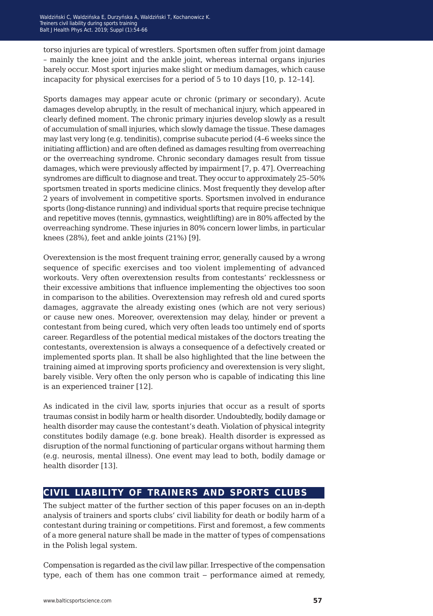torso injuries are typical of wrestlers. Sportsmen often suffer from joint damage – mainly the knee joint and the ankle joint, whereas internal organs injuries barely occur. Most sport injuries make slight or medium damages, which cause incapacity for physical exercises for a period of 5 to 10 days [10, p. 12–14].

Sports damages may appear acute or chronic (primary or secondary). Acute damages develop abruptly, in the result of mechanical injury, which appeared in clearly defined moment. The chronic primary injuries develop slowly as a result of accumulation of small injuries, which slowly damage the tissue. These damages may last very long (e.g. tendinitis), comprise subacute period (4–6 weeks since the initiating affliction) and are often defined as damages resulting from overreaching or the overreaching syndrome. Chronic secondary damages result from tissue damages, which were previously affected by impairment [7, p. 47]. Overreaching syndromes are difficult to diagnose and treat. They occur to approximately 25–50% sportsmen treated in sports medicine clinics. Most frequently they develop after 2 years of involvement in competitive sports. Sportsmen involved in endurance sports (long-distance running) and individual sports that require precise technique and repetitive moves (tennis, gymnastics, weightlifting) are in 80% affected by the overreaching syndrome. These injuries in 80% concern lower limbs, in particular knees (28%), feet and ankle joints (21%) [9].

Overextension is the most frequent training error, generally caused by a wrong sequence of specific exercises and too violent implementing of advanced workouts. Very often overextension results from contestants' recklessness or their excessive ambitions that influence implementing the objectives too soon in comparison to the abilities. Overextension may refresh old and cured sports damages, aggravate the already existing ones (which are not very serious) or cause new ones. Moreover, overextension may delay, hinder or prevent a contestant from being cured, which very often leads too untimely end of sports career. Regardless of the potential medical mistakes of the doctors treating the contestants, overextension is always a consequence of a defectively created or implemented sports plan. It shall be also highlighted that the line between the training aimed at improving sports proficiency and overextension is very slight, barely visible. Very often the only person who is capable of indicating this line is an experienced trainer [12].

As indicated in the civil law, sports injuries that occur as a result of sports traumas consist in bodily harm or health disorder. Undoubtedly, bodily damage or health disorder may cause the contestant's death. Violation of physical integrity constitutes bodily damage (e.g. bone break). Health disorder is expressed as disruption of the normal functioning of particular organs without harming them (e.g. neurosis, mental illness). One event may lead to both, bodily damage or health disorder [13].

## **civil liability of trainers and sports clubs**

The subject matter of the further section of this paper focuses on an in-depth analysis of trainers and sports clubs' civil liability for death or bodily harm of a contestant during training or competitions. First and foremost, a few comments of a more general nature shall be made in the matter of types of compensations in the Polish legal system.

Compensation is regarded as the civil law pillar. Irrespective of the compensation type, each of them has one common trait – performance aimed at remedy,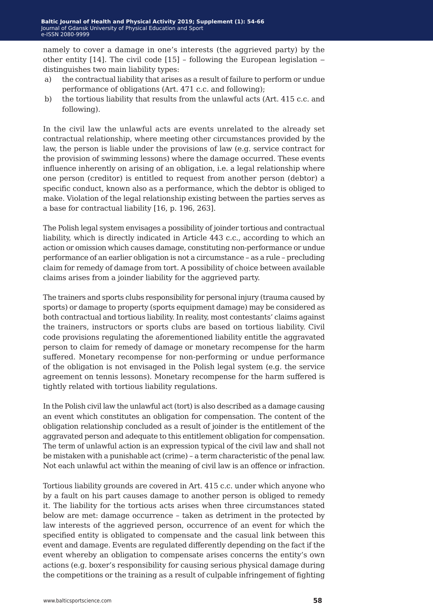namely to cover a damage in one's interests (the aggrieved party) by the other entity  $[14]$ . The civil code  $[15]$  - following the European legislation – distinguishes two main liability types:

- a) the contractual liability that arises as a result of failure to perform or undue performance of obligations (Art. 471 c.c. and following);
- b) the tortious liability that results from the unlawful acts (Art. 415 c.c. and following).

In the civil law the unlawful acts are events unrelated to the already set contractual relationship, where meeting other circumstances provided by the law, the person is liable under the provisions of law (e.g. service contract for the provision of swimming lessons) where the damage occurred. These events influence inherently on arising of an obligation, i.e. a legal relationship where one person (creditor) is entitled to request from another person (debtor) a specific conduct, known also as a performance, which the debtor is obliged to make. Violation of the legal relationship existing between the parties serves as a base for contractual liability [16, p. 196, 263].

The Polish legal system envisages a possibility of joinder tortious and contractual liability, which is directly indicated in Article 443 c.c., according to which an action or omission which causes damage, constituting non-performance or undue performance of an earlier obligation is not a circumstance – as a rule – precluding claim for remedy of damage from tort. A possibility of choice between available claims arises from a joinder liability for the aggrieved party.

The trainers and sports clubs responsibility for personal injury (trauma caused by sports) or damage to property (sports equipment damage) may be considered as both contractual and tortious liability. In reality, most contestants' claims against the trainers, instructors or sports clubs are based on tortious liability. Civil code provisions regulating the aforementioned liability entitle the aggravated person to claim for remedy of damage or monetary recompense for the harm suffered. Monetary recompense for non-performing or undue performance of the obligation is not envisaged in the Polish legal system (e.g. the service agreement on tennis lessons). Monetary recompense for the harm suffered is tightly related with tortious liability regulations.

In the Polish civil law the unlawful act (tort) is also described as a damage causing an event which constitutes an obligation for compensation. The content of the obligation relationship concluded as a result of joinder is the entitlement of the aggravated person and adequate to this entitlement obligation for compensation. The term of unlawful action is an expression typical of the civil law and shall not be mistaken with a punishable act (crime) – a term characteristic of the penal law. Not each unlawful act within the meaning of civil law is an offence or infraction.

Tortious liability grounds are covered in Art. 415 c.c. under which anyone who by a fault on his part causes damage to another person is obliged to remedy it. The liability for the tortious acts arises when three circumstances stated below are met: damage occurrence – taken as detriment in the protected by law interests of the aggrieved person, occurrence of an event for which the specified entity is obligated to compensate and the casual link between this event and damage. Events are regulated differently depending on the fact if the event whereby an obligation to compensate arises concerns the entity's own actions (e.g. boxer's responsibility for causing serious physical damage during the competitions or the training as a result of culpable infringement of fighting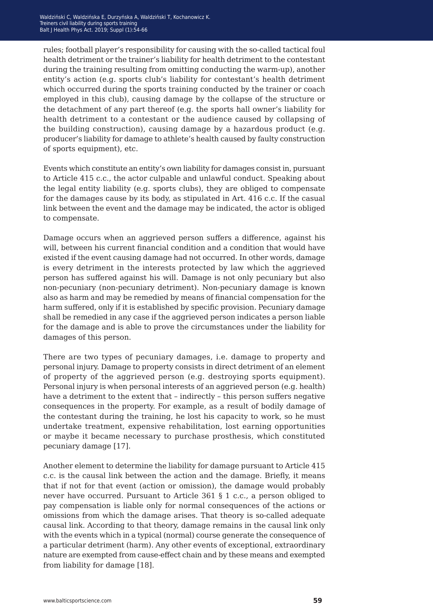rules; football player's responsibility for causing with the so-called tactical foul health detriment or the trainer's liability for health detriment to the contestant during the training resulting from omitting conducting the warm-up), another entity's action (e.g. sports club's liability for contestant's health detriment which occurred during the sports training conducted by the trainer or coach employed in this club), causing damage by the collapse of the structure or the detachment of any part thereof (e.g. the sports hall owner's liability for health detriment to a contestant or the audience caused by collapsing of the building construction), causing damage by a hazardous product (e.g. producer's liability for damage to athlete's health caused by faulty construction of sports equipment), etc.

Events which constitute an entity's own liability for damages consist in, pursuant to Article 415 c.c., the actor culpable and unlawful conduct. Speaking about the legal entity liability (e.g. sports clubs), they are obliged to compensate for the damages cause by its body, as stipulated in Art. 416 c.c. If the casual link between the event and the damage may be indicated, the actor is obliged to compensate.

Damage occurs when an aggrieved person suffers a difference, against his will, between his current financial condition and a condition that would have existed if the event causing damage had not occurred. In other words, damage is every detriment in the interests protected by law which the aggrieved person has suffered against his will. Damage is not only pecuniary but also non-pecuniary (non-pecuniary detriment). Non-pecuniary damage is known also as harm and may be remedied by means of financial compensation for the harm suffered, only if it is established by specific provision. Pecuniary damage shall be remedied in any case if the aggrieved person indicates a person liable for the damage and is able to prove the circumstances under the liability for damages of this person.

There are two types of pecuniary damages, i.e. damage to property and personal injury. Damage to property consists in direct detriment of an element of property of the aggrieved person (e.g. destroying sports equipment). Personal injury is when personal interests of an aggrieved person (e.g. health) have a detriment to the extent that – indirectly – this person suffers negative consequences in the property. For example, as a result of bodily damage of the contestant during the training, he lost his capacity to work, so he must undertake treatment, expensive rehabilitation, lost earning opportunities or maybe it became necessary to purchase prosthesis, which constituted pecuniary damage [17].

Another element to determine the liability for damage pursuant to Article 415 c.c. is the causal link between the action and the damage. Briefly, it means that if not for that event (action or omission), the damage would probably never have occurred. Pursuant to Article 361 § 1 c.c., a person obliged to pay compensation is liable only for normal consequences of the actions or omissions from which the damage arises. That theory is so-called adequate causal link. According to that theory, damage remains in the causal link only with the events which in a typical (normal) course generate the consequence of a particular detriment (harm). Any other events of exceptional, extraordinary nature are exempted from cause-effect chain and by these means and exempted from liability for damage [18].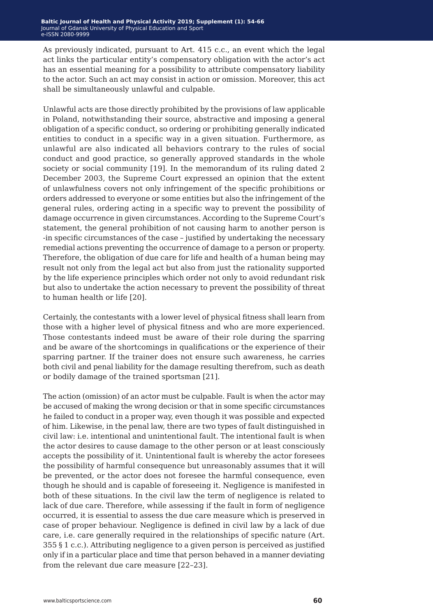As previously indicated, pursuant to Art. 415 c.c., an event which the legal act links the particular entity's compensatory obligation with the actor's act has an essential meaning for a possibility to attribute compensatory liability to the actor. Such an act may consist in action or omission. Moreover, this act shall be simultaneously unlawful and culpable.

Unlawful acts are those directly prohibited by the provisions of law applicable in Poland, notwithstanding their source, abstractive and imposing a general obligation of a specific conduct, so ordering or prohibiting generally indicated entities to conduct in a specific way in a given situation. Furthermore, as unlawful are also indicated all behaviors contrary to the rules of social conduct and good practice, so generally approved standards in the whole society or social community [19]. In the memorandum of its ruling dated 2 December 2003, the Supreme Court expressed an opinion that the extent of unlawfulness covers not only infringement of the specific prohibitions or orders addressed to everyone or some entities but also the infringement of the general rules, ordering acting in a specific way to prevent the possibility of damage occurrence in given circumstances. According to the Supreme Court's statement, the general prohibition of not causing harm to another person is -in specific circumstances of the case – justified by undertaking the necessary remedial actions preventing the occurrence of damage to a person or property. Therefore, the obligation of due care for life and health of a human being may result not only from the legal act but also from just the rationality supported by the life experience principles which order not only to avoid redundant risk but also to undertake the action necessary to prevent the possibility of threat to human health or life [20].

Certainly, the contestants with a lower level of physical fitness shall learn from those with a higher level of physical fitness and who are more experienced. Those contestants indeed must be aware of their role during the sparring and be aware of the shortcomings in qualifications or the experience of their sparring partner. If the trainer does not ensure such awareness, he carries both civil and penal liability for the damage resulting therefrom, such as death or bodily damage of the trained sportsman [21].

The action (omission) of an actor must be culpable. Fault is when the actor may be accused of making the wrong decision or that in some specific circumstances he failed to conduct in a proper way, even though it was possible and expected of him. Likewise, in the penal law, there are two types of fault distinguished in civil law: i.e. intentional and unintentional fault. The intentional fault is when the actor desires to cause damage to the other person or at least consciously accepts the possibility of it. Unintentional fault is whereby the actor foresees the possibility of harmful consequence but unreasonably assumes that it will be prevented, or the actor does not foresee the harmful consequence, even though he should and is capable of foreseeing it. Negligence is manifested in both of these situations. In the civil law the term of negligence is related to lack of due care. Therefore, while assessing if the fault in form of negligence occurred, it is essential to assess the due care measure which is preserved in case of proper behaviour. Negligence is defined in civil law by a lack of due care, i.e. care generally required in the relationships of specific nature (Art. 355 § 1 c.c.). Attributing negligence to a given person is perceived as justified only if in a particular place and time that person behaved in a manner deviating from the relevant due care measure [22–23].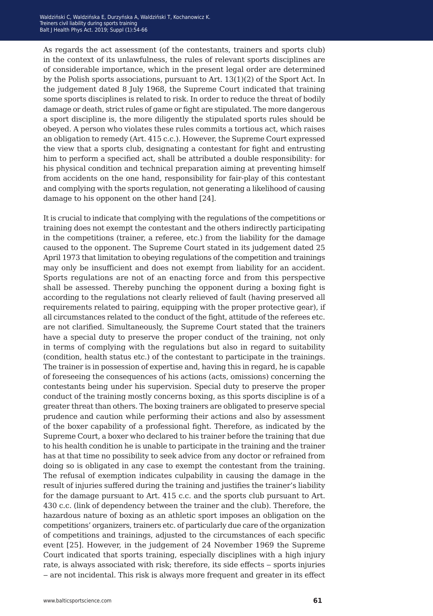As regards the act assessment (of the contestants, trainers and sports club) in the context of its unlawfulness, the rules of relevant sports disciplines are of considerable importance, which in the present legal order are determined by the Polish sports associations, pursuant to Art. 13(1)(2) of the Sport Act. In the judgement dated 8 July 1968, the Supreme Court indicated that training some sports disciplines is related to risk. In order to reduce the threat of bodily damage or death, strict rules of game or fight are stipulated. The more dangerous a sport discipline is, the more diligently the stipulated sports rules should be obeyed. A person who violates these rules commits a tortious act, which raises an obligation to remedy (Art. 415 c.c.). However, the Supreme Court expressed the view that a sports club, designating a contestant for fight and entrusting him to perform a specified act, shall be attributed a double responsibility: for his physical condition and technical preparation aiming at preventing himself from accidents on the one hand, responsibility for fair-play of this contestant and complying with the sports regulation, not generating a likelihood of causing damage to his opponent on the other hand [24].

It is crucial to indicate that complying with the regulations of the competitions or training does not exempt the contestant and the others indirectly participating in the competitions (trainer, a referee, etc.) from the liability for the damage caused to the opponent. The Supreme Court stated in its judgement dated 25 April 1973 that limitation to obeying regulations of the competition and trainings may only be insufficient and does not exempt from liability for an accident. Sports regulations are not of an enacting force and from this perspective shall be assessed. Thereby punching the opponent during a boxing fight is according to the regulations not clearly relieved of fault (having preserved all requirements related to pairing, equipping with the proper protective gear), if all circumstances related to the conduct of the fight, attitude of the referees etc. are not clarified. Simultaneously, the Supreme Court stated that the trainers have a special duty to preserve the proper conduct of the training, not only in terms of complying with the regulations but also in regard to suitability (condition, health status etc.) of the contestant to participate in the trainings. The trainer is in possession of expertise and, having this in regard, he is capable of foreseeing the consequences of his actions (acts, omissions) concerning the contestants being under his supervision. Special duty to preserve the proper conduct of the training mostly concerns boxing, as this sports discipline is of a greater threat than others. The boxing trainers are obligated to preserve special prudence and caution while performing their actions and also by assessment of the boxer capability of a professional fight. Therefore, as indicated by the Supreme Court, a boxer who declared to his trainer before the training that due to his health condition he is unable to participate in the training and the trainer has at that time no possibility to seek advice from any doctor or refrained from doing so is obligated in any case to exempt the contestant from the training. The refusal of exemption indicates culpability in causing the damage in the result of injuries suffered during the training and justifies the trainer's liability for the damage pursuant to Art. 415 c.c. and the sports club pursuant to Art. 430 c.c. (link of dependency between the trainer and the club). Therefore, the hazardous nature of boxing as an athletic sport imposes an obligation on the competitions' organizers, trainers etc. of particularly due care of the organization of competitions and trainings, adjusted to the circumstances of each specific event [25]. However, in the judgement of 24 November 1969 the Supreme Court indicated that sports training, especially disciplines with a high injury rate, is always associated with risk; therefore, its side effects – sports injuries ‒ are not incidental. This risk is always more frequent and greater in its effect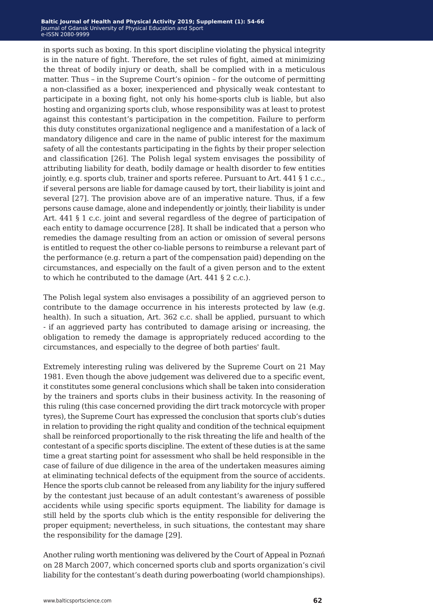in sports such as boxing. In this sport discipline violating the physical integrity is in the nature of fight. Therefore, the set rules of fight, aimed at minimizing the threat of bodily injury or death, shall be complied with in a meticulous matter. Thus – in the Supreme Court's opinion – for the outcome of permitting a non-classified as a boxer, inexperienced and physically weak contestant to participate in a boxing fight, not only his home-sports club is liable, but also hosting and organizing sports club, whose responsibility was at least to protest against this contestant's participation in the competition. Failure to perform this duty constitutes organizational negligence and a manifestation of a lack of mandatory diligence and care in the name of public interest for the maximum safety of all the contestants participating in the fights by their proper selection and classification [26]. The Polish legal system envisages the possibility of attributing liability for death, bodily damage or health disorder to few entities jointly, e.g. sports club, trainer and sports referee. Pursuant to Art. 441 § 1 c.c., if several persons are liable for damage caused by tort, their liability is joint and several [27]. The provision above are of an imperative nature. Thus, if a few persons cause damage, alone and independently or jointly, their liability is under Art. 441 § 1 c.c. joint and several regardless of the degree of participation of each entity to damage occurrence [28]. It shall be indicated that a person who remedies the damage resulting from an action or omission of several persons is entitled to request the other co-liable persons to reimburse a relevant part of the performance (e.g. return a part of the compensation paid) depending on the circumstances, and especially on the fault of a given person and to the extent to which he contributed to the damage (Art. 441 § 2 c.c.).

The Polish legal system also envisages a possibility of an aggrieved person to contribute to the damage occurrence in his interests protected by law (e.g. health). In such a situation, Art. 362 c.c. shall be applied, pursuant to which - if an aggrieved party has contributed to damage arising or increasing, the obligation to remedy the damage is appropriately reduced according to the circumstances, and especially to the degree of both parties' fault.

Extremely interesting ruling was delivered by the Supreme Court on 21 May 1981. Even though the above judgement was delivered due to a specific event, it constitutes some general conclusions which shall be taken into consideration by the trainers and sports clubs in their business activity. In the reasoning of this ruling (this case concerned providing the dirt track motorcycle with proper tyres), the Supreme Court has expressed the conclusion that sports club's duties in relation to providing the right quality and condition of the technical equipment shall be reinforced proportionally to the risk threating the life and health of the contestant of a specific sports discipline. The extent of these duties is at the same time a great starting point for assessment who shall be held responsible in the case of failure of due diligence in the area of the undertaken measures aiming at eliminating technical defects of the equipment from the source of accidents. Hence the sports club cannot be released from any liability for the injury suffered by the contestant just because of an adult contestant's awareness of possible accidents while using specific sports equipment. The liability for damage is still held by the sports club which is the entity responsible for delivering the proper equipment; nevertheless, in such situations, the contestant may share the responsibility for the damage [29].

Another ruling worth mentioning was delivered by the Court of Appeal in Poznań on 28 March 2007, which concerned sports club and sports organization's civil liability for the contestant's death during powerboating (world championships).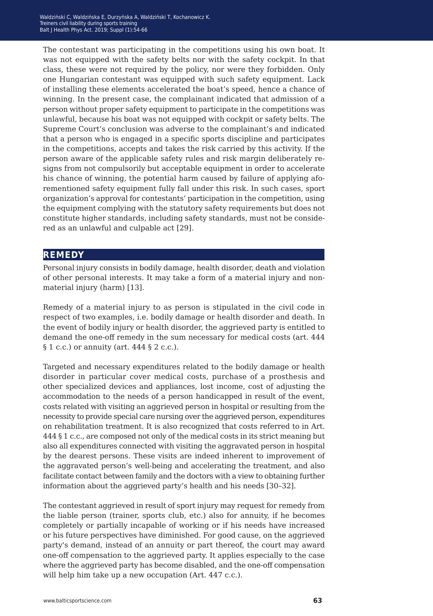The contestant was participating in the competitions using his own boat. It was not equipped with the safety belts nor with the safety cockpit. In that class, these were not required by the policy, nor were they forbidden. Only one Hungarian contestant was equipped with such safety equipment. Lack of installing these elements accelerated the boat's speed, hence a chance of winning. In the present case, the complainant indicated that admission of a person without proper safety equipment to participate in the competitions was unlawful, because his boat was not equipped with cockpit or safety belts. The Supreme Court's conclusion was adverse to the complainant's and indicated that a person who is engaged in a specific sports discipline and participates in the competitions, accepts and takes the risk carried by this activity. If the person aware of the applicable safety rules and risk margin deliberately resigns from not compulsorily but acceptable equipment in order to accelerate his chance of winning, the potential harm caused by failure of applying aforementioned safety equipment fully fall under this risk. In such cases, sport organization's approval for contestants' participation in the competition, using the equipment complying with the statutory safety requirements but does not constitute higher standards, including safety standards, must not be considered as an unlawful and culpable act [29].

### **remedy**

Personal injury consists in bodily damage, health disorder, death and violation of other personal interests. It may take a form of a material injury and nonmaterial injury (harm) [13].

Remedy of a material injury to as person is stipulated in the civil code in respect of two examples, i.e. bodily damage or health disorder and death. In the event of bodily injury or health disorder, the aggrieved party is entitled to demand the one-off remedy in the sum necessary for medical costs (art. 444 § 1 c.c.) or annuity (art. 444 § 2 c.c.).

Targeted and necessary expenditures related to the bodily damage or health disorder in particular cover medical costs, purchase of a prosthesis and other specialized devices and appliances, lost income, cost of adjusting the accommodation to the needs of a person handicapped in result of the event, costs related with visiting an aggrieved person in hospital or resulting from the necessity to provide special care nursing over the aggrieved person, expenditures on rehabilitation treatment. It is also recognized that costs referred to in Art. 444 § 1 c.c., are composed not only of the medical costs in its strict meaning but also all expenditures connected with visiting the aggravated person in hospital by the dearest persons. These visits are indeed inherent to improvement of the aggravated person's well-being and accelerating the treatment, and also facilitate contact between family and the doctors with a view to obtaining further information about the aggrieved party's health and his needs [30–32].

The contestant aggrieved in result of sport injury may request for remedy from the liable person (trainer, sports club, etc.) also for annuity, if he becomes completely or partially incapable of working or if his needs have increased or his future perspectives have diminished. For good cause, on the aggrieved party's demand, instead of an annuity or part thereof, the court may award one-off compensation to the aggrieved party. It applies especially to the case where the aggrieved party has become disabled, and the one-off compensation will help him take up a new occupation (Art. 447 c.c.).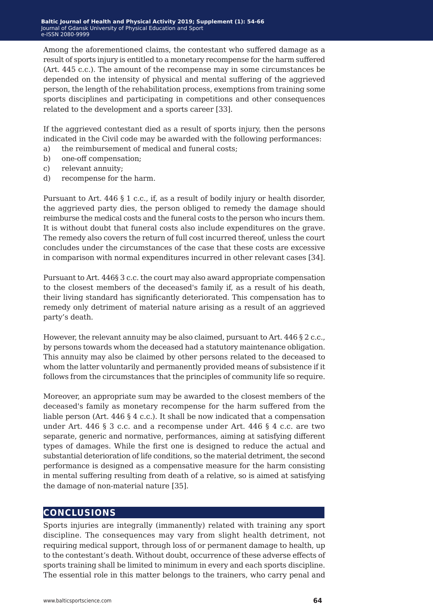Among the aforementioned claims, the contestant who suffered damage as a result of sports injury is entitled to a monetary recompense for the harm suffered (Art. 445 c.c.). The amount of the recompense may in some circumstances be depended on the intensity of physical and mental suffering of the aggrieved person, the length of the rehabilitation process, exemptions from training some sports disciplines and participating in competitions and other consequences related to the development and a sports career [33].

If the aggrieved contestant died as a result of sports injury, then the persons indicated in the Civil code may be awarded with the following performances:

- a) the reimbursement of medical and funeral costs;
- b) one-off compensation;
- c) relevant annuity;
- d) recompense for the harm.

Pursuant to Art. 446 § 1 c.c., if, as a result of bodily injury or health disorder, the aggrieved party dies, the person obliged to remedy the damage should reimburse the medical costs and the funeral costs to the person who incurs them. It is without doubt that funeral costs also include expenditures on the grave. The remedy also covers the return of full cost incurred thereof, unless the court concludes under the circumstances of the case that these costs are excessive in comparison with normal expenditures incurred in other relevant cases [34].

Pursuant to Art. 446§ 3 c.c. the court may also award appropriate compensation to the closest members of the deceased's family if, as a result of his death, their living standard has significantly deteriorated. This compensation has to remedy only detriment of material nature arising as a result of an aggrieved party's death.

However, the relevant annuity may be also claimed, pursuant to Art. 446 § 2 c.c., by persons towards whom the deceased had a statutory maintenance obligation. This annuity may also be claimed by other persons related to the deceased to whom the latter voluntarily and permanently provided means of subsistence if it follows from the circumstances that the principles of community life so require.

Moreover, an appropriate sum may be awarded to the closest members of the deceased's family as monetary recompense for the harm suffered from the liable person (Art. 446 § 4 c.c.). It shall be now indicated that a compensation under Art. 446 § 3 c.c. and a recompense under Art. 446 § 4 c.c. are two separate, generic and normative, performances, aiming at satisfying different types of damages. While the first one is designed to reduce the actual and substantial deterioration of life conditions, so the material detriment, the second performance is designed as a compensative measure for the harm consisting in mental suffering resulting from death of a relative, so is aimed at satisfying the damage of non-material nature [35].

### **conclusions**

Sports injuries are integrally (immanently) related with training any sport discipline. The consequences may vary from slight health detriment, not requiring medical support, through loss of or permanent damage to health, up to the contestant's death. Without doubt, occurrence of these adverse effects of sports training shall be limited to minimum in every and each sports discipline. The essential role in this matter belongs to the trainers, who carry penal and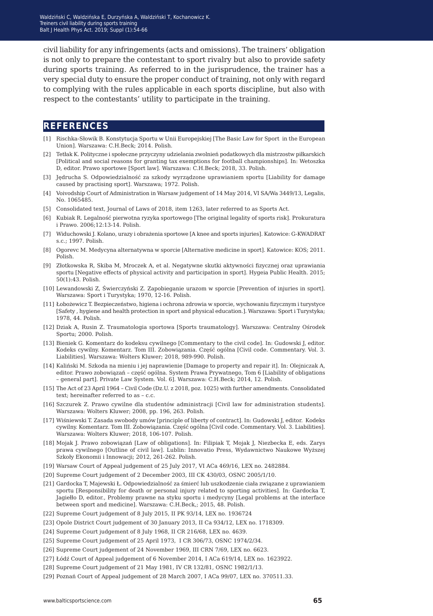civil liability for any infringements (acts and omissions). The trainers' obligation is not only to prepare the contestant to sport rivalry but also to provide safety during sports training. As referred to in the jurisprudence, the trainer has a very special duty to ensure the proper conduct of training, not only with regard to complying with the rules applicable in each sports discipline, but also with respect to the contestants' utility to participate in the training.

### **references**

- [1] Rischka-Słowik B. Konstytucja Sportu w Unii Europejskiej [The Basic Law for Sport in the European Union]. Warszawa: C.H.Beck; 2014. Polish.
- [2] Tetłak K. Polityczne i społeczne przyczyny udzielania zwolnień podatkowych dla mistrzostw piłkarskich [Political and social reasons for granting tax exemptions for football championships]. In: Wetoszka D, editor. Prawo sportowe [Sport law]. Warszawa: C.H.Beck; 2018, 33. Polish.
- [3] Jędrucha S. Odpowiedzialność za szkody wyrządzone uprawianiem sportu [Liability for damage caused by practising sport]. Warszawa; 1972. Polish.
- [4] Voivodship Court of Administration in Warsaw judgement of 14 May 2014, VI SA/Wa 3449/13, Legalis, No. 1065485.
- [5] Consolidated text, Journal of Laws of 2018, item 1263, later referred to as Sports Act.
- [6] Kubiak R. Legalność pierwotna ryzyka sportowego [The original legality of sports risk]. Prokuratura i Prawo. 2006;12:13-14. Polish.
- [7] Widuchowski J. Kolano, urazy i obrażenia sportowe [A knee and sports injuries]. Katowice: G-KWADRAT s.c.; 1997. Polish.
- [8] Ogorevc M. Medycyna alternatywna w sporcie [Alternative medicine in sport]. Katowice: KOS; 2011. Polish.
- [9] Złotkowska R, Skiba M, Mroczek A, et al. Negatywne skutki aktywności fizycznej oraz uprawiania sportu [Negative effects of physical activity and participation in sport]. Hygeia Public Health. 2015; 50(1):43. Polish.
- [10] Lewandowski Z, Świerczyński Z. Zapobieganie urazom w sporcie [Prevention of injuries in sport]. Warszawa: Sport i Turystyka; 1970, 12-16. Polish.
- [11] Łobożewicz T. Bezpieczeństwo, higiena i ochrona zdrowia w sporcie, wychowaniu fizycznym i turystyce [Safety , hygiene and health protection in sport and physical education.]. Warszawa: Sport i Turystyka; 1978, 44. Polish.
- [12] Dziak A, Rusin Z. Traumatologia sportowa [Sports traumatology]. Warszawa: Centralny Ośrodek Sportu; 2000. Polish.
- [13] Bieniek G. Komentarz do kodeksu cywilnego [Commentary to the civil code]. In: Gudowski J, editor. Kodeks cywilny. Komentarz. Tom III. Zobowiązania. Część ogólna [Civil code. Commentary. Vol. 3. Liabilities]. Warszawa: Wolters Kluwer; 2018, 989-990. Polish.
- [14] Kaliński M. Szkoda na mieniu i jej naprawienie [Damage to property and repair it]. In: Olejniczak A, editor. Prawo zobowiązań – część ogólna. System Prawa Prywatnego, Tom 6 [Liability of obligations – general part]. Private Law System. Vol. 6]. Warszawa: C.H.Beck; 2014, 12. Polish.
- [15] The Act of 23 April 1964 Civil Code (Dz.U. z 2018, poz. 1025) with further amendments. Consolidated text; hereinafter referred to as – c.c.
- [16] Szczurek Z. Prawo cywilne dla studentów administracji [Civil law for administration students]. Warszawa: Wolters Kluwer; 2008, pp. 196, 263. Polish.
- [17] Wiśniewski T. Zasada swobody umów [principle of liberty of contract]. In: Gudowski J, editor. Kodeks cywilny. Komentarz. Tom III. Zobowiązania. Część ogólna [Civil code. Commentary. Vol. 3. Liabilities]. Warszawa: Wolters Kluwer; 2018, 106-107. Polish.
- [18] Mojak J. Prawo zobowiązań [Law of obligations]. In: Filipiak T, Mojak J, Niezbecka E, eds. Zarys prawa cywilnego [Outline of civil law]. Lublin: Innovatio Press, Wydawnictwo Naukowe Wyższej Szkoły Ekonomii i Innowacji; 2012, 261-262. Polish.
- [19] Warsaw Court of Appeal judgement of 25 July 2017, VI ACa 469/16, LEX no. 2482884.
- [20] Supreme Court judgement of 2 December 2003, III CK 430/03, OSNC 2005/1/10.
- [21] Gardocka T, Majewski Ł. Odpowiedzialność za śmierć lub uszkodzenie ciała związane z uprawianiem sportu [Responsibility for death or personal injury related to sporting activities]. In: Gardocka T, Jagiełło D, editor., Problemy prawne na styku sportu i medycyny [Legal problems at the interface between sport and medicine]. Warszawa: C.H.Beck,; 2015, 48. Polish.
- [22] Supreme Court judgement of 8 July 2015, II PK 93/14, LEX no. 1936724
- [23] Opole District Court judgement of 30 January 2013, II Ca 934/12, LEX no. 1718309.
- [24] Supreme Court judgement of 8 July 1968, II CR 216/68, LEX no. 4639.
- [25] Supreme Court judgement of 25 April 1973, I CR 306/73, OSNC 1974/2/34.
- [26] Supreme Court judgement of 24 November 1969, III CRN 7/69, LEX no. 6623.
- [27] Łódź Court of Appeal judgement of 6 November 2014, I ACa 619/14, LEX no. 1623922.
- [28] Supreme Court judgement of 21 May 1981, IV CR 132/81, OSNC 1982/1/13.
- [29] Poznań Court of Appeal judgement of 28 March 2007, I ACa 99/07, LEX no. 370511.33.